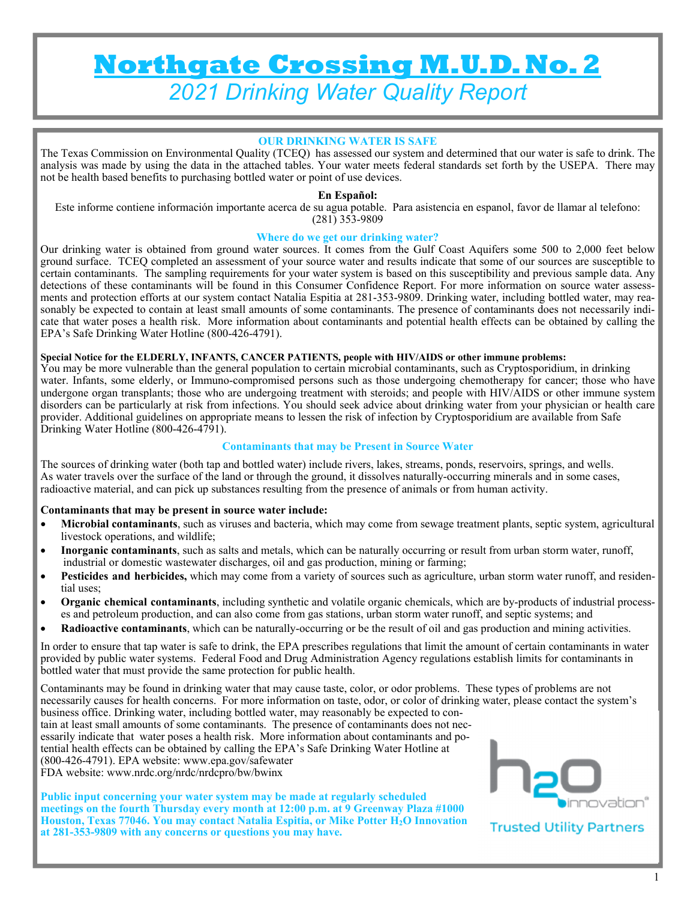# **Northgate Crossing M.U.D. No. 2**  *2021 Drinking Water Quality Report*

## **OUR DRINKING WATER IS SAFE**

The Texas Commission on Environmental Quality (TCEQ) has assessed our system and determined that our water is safe to drink. The analysis was made by using the data in the attached tables. Your water meets federal standards set forth by the USEPA. There may not be health based benefits to purchasing bottled water or point of use devices.

#### **En Español:**

Este informe contiene información importante acerca de su agua potable. Para asistencia en espanol, favor de llamar al telefono: (281) 353-9809

#### **Where do we get our drinking water?**

Our drinking water is obtained from ground water sources. It comes from the Gulf Coast Aquifers some 500 to 2,000 feet below ground surface. TCEQ completed an assessment of your source water and results indicate that some of our sources are susceptible to certain contaminants. The sampling requirements for your water system is based on this susceptibility and previous sample data. Any detections of these contaminants will be found in this Consumer Confidence Report. For more information on source water assessments and protection efforts at our system contact Natalia Espitia at 281-353-9809. Drinking water, including bottled water, may reasonably be expected to contain at least small amounts of some contaminants. The presence of contaminants does not necessarily indicate that water poses a health risk. More information about contaminants and potential health effects can be obtained by calling the EPA's Safe Drinking Water Hotline (800-426-4791).

#### **Special Notice for the ELDERLY, INFANTS, CANCER PATIENTS, people with HIV/AIDS or other immune problems:**

You may be more vulnerable than the general population to certain microbial contaminants, such as Cryptosporidium, in drinking water. Infants, some elderly, or Immuno-compromised persons such as those undergoing chemotherapy for cancer; those who have undergone organ transplants; those who are undergoing treatment with steroids; and people with HIV/AIDS or other immune system disorders can be particularly at risk from infections. You should seek advice about drinking water from your physician or health care provider. Additional guidelines on appropriate means to lessen the risk of infection by Cryptosporidium are available from Safe Drinking Water Hotline (800-426-4791).

#### **Contaminants that may be Present in Source Water**

The sources of drinking water (both tap and bottled water) include rivers, lakes, streams, ponds, reservoirs, springs, and wells. As water travels over the surface of the land or through the ground, it dissolves naturally-occurring minerals and in some cases, radioactive material, and can pick up substances resulting from the presence of animals or from human activity.

#### **Contaminants that may be present in source water include:**

- **Microbial contaminants**, such as viruses and bacteria, which may come from sewage treatment plants, septic system, agricultural livestock operations, and wildlife;
- **Inorganic contaminants**, such as salts and metals, which can be naturally occurring or result from urban storm water, runoff, industrial or domestic wastewater discharges, oil and gas production, mining or farming;
- **Pesticides and herbicides,** which may come from a variety of sources such as agriculture, urban storm water runoff, and residential uses;
- **Organic chemical contaminants**, including synthetic and volatile organic chemicals, which are by-products of industrial processes and petroleum production, and can also come from gas stations, urban storm water runoff, and septic systems; and
- **Radioactive contaminants**, which can be naturally-occurring or be the result of oil and gas production and mining activities.

In order to ensure that tap water is safe to drink, the EPA prescribes regulations that limit the amount of certain contaminants in water provided by public water systems. Federal Food and Drug Administration Agency regulations establish limits for contaminants in bottled water that must provide the same protection for public health.

Contaminants may be found in drinking water that may cause taste, color, or odor problems. These types of problems are not necessarily causes for health concerns. For more information on taste, odor, or color of drinking water, please contact the system's business office. Drinking water, including bottled water, may reasonably be expected to contain at least small amounts of some contaminants. The presence of contaminants does not necessarily indicate that water poses a health risk. More information about contaminants and potential health effects can be obtained by calling the EPA's Safe Drinking Water Hotline at (800-426-4791). EPA website: www.epa.gov/safewater FDA website: www.nrdc.org/nrdc/nrdcpro/bw/bwinx

**Public input concerning your water system may be made at regularly scheduled meetings on the fourth Thursday every month at 12:00 p.m. at 9 Greenway Plaza #1000 Houston, Texas 77046. You may contact Natalia Espitia, or Mike Potter H2O Innovation at 281-353-9809 with any concerns or questions you may have.**



## **Trusted Utility Partners**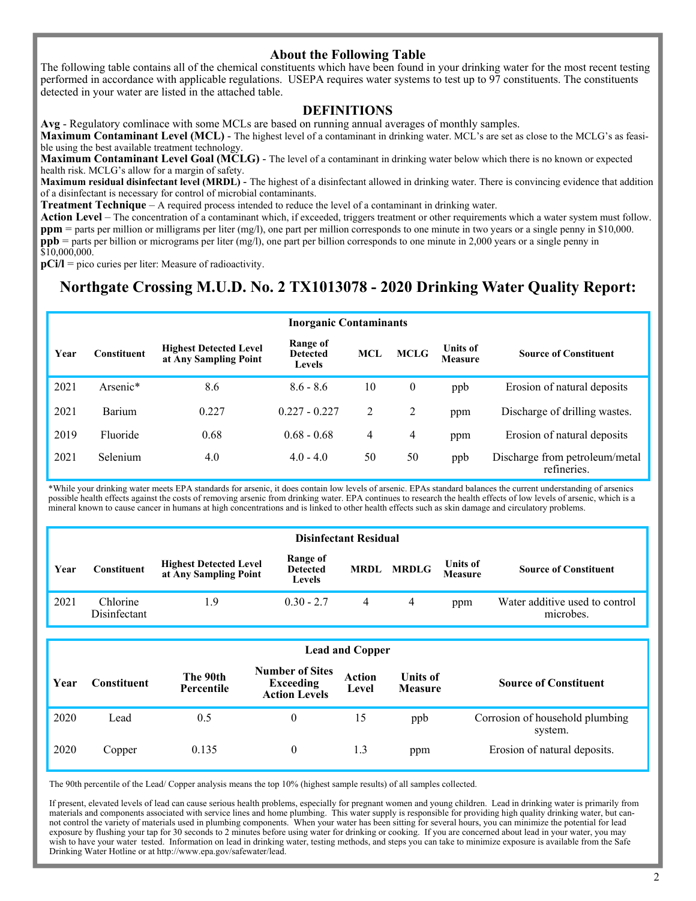## **About the Following Table**

The following table contains all of the chemical constituents which have been found in your drinking water for the most recent testing performed in accordance with applicable regulations. USEPA requires water systems to test up to 97 constituents. The constituents detected in your water are listed in the attached table.

# **DEFINITIONS**

**Avg** - Regulatory comlinace with some MCLs are based on running annual averages of monthly samples.

**Maximum Contaminant Level (MCL)** - The highest level of a contaminant in drinking water. MCL's are set as close to the MCLG's as feasible using the best available treatment technology.

**Maximum Contaminant Level Goal (MCLG)** - The level of a contaminant in drinking water below which there is no known or expected health risk. MCLG's allow for a margin of safety.

**Maximum residual disinfectant level (MRDL)** - The highest of a disinfectant allowed in drinking water. There is convincing evidence that addition of a disinfectant is necessary for control of microbial contaminants.

**Treatment Technique** – A required process intended to reduce the level of a contaminant in drinking water.

**Action Level** – The concentration of a contaminant which, if exceeded, triggers treatment or other requirements which a water system must follow. **ppm** = parts per million or milligrams per liter (mg/l), one part per million corresponds to one minute in two years or a single penny in \$10,000. **ppb** = parts per billion or micrograms per liter (mg/l), one part per billion corresponds to one minute in 2,000 years or a single penny in \$10,000,000.

**pCi/l** = pico curies per liter: Measure of radioactivity.

# **Northgate Crossing M.U.D. No. 2 TX1013078 - 2020 Drinking Water Quality Report:**

| <b>Inorganic Contaminants</b> |             |                                                        |                                              |                |             |                                   |                                               |  |
|-------------------------------|-------------|--------------------------------------------------------|----------------------------------------------|----------------|-------------|-----------------------------------|-----------------------------------------------|--|
| Year                          | Constituent | <b>Highest Detected Level</b><br>at Any Sampling Point | Range of<br><b>Detected</b><br><b>Levels</b> | <b>MCL</b>     | <b>MCLG</b> | <b>Units of</b><br><b>Measure</b> | <b>Source of Constituent</b>                  |  |
| 2021                          | Arsenic*    | 8.6                                                    | $8.6 - 8.6$                                  | 10             | $\theta$    | ppb                               | Erosion of natural deposits                   |  |
| 2021                          | Barium      | 0.227                                                  | $0.227 - 0.227$                              | $\overline{2}$ | 2           | ppm                               | Discharge of drilling wastes.                 |  |
| 2019                          | Fluoride    | 0.68                                                   | $0.68 - 0.68$                                | 4              | 4           | ppm                               | Erosion of natural deposits                   |  |
| 2021                          | Selenium    | 4.0                                                    | $4.0 - 4.0$                                  | 50             | 50          | ppb                               | Discharge from petroleum/metal<br>refineries. |  |

\*While your drinking water meets EPA standards for arsenic, it does contain low levels of arsenic. EPAs standard balances the current understanding of arsenics possible health effects against the costs of removing arsenic from drinking water. EPA continues to research the health effects of low levels of arsenic, which is a mineral known to cause cancer in humans at high concentrations and is linked to other health effects such as skin damage and circulatory problems.

|      | <b>Disinfectant Residual</b> |                                                        |                                       |   |                   |                            |                                             |  |  |  |
|------|------------------------------|--------------------------------------------------------|---------------------------------------|---|-------------------|----------------------------|---------------------------------------------|--|--|--|
| Year | <b>Constituent</b>           | <b>Highest Detected Level</b><br>at Any Sampling Point | Range of<br><b>Detected</b><br>Levels |   | <b>MRDL MRDLG</b> | Units of<br><b>Measure</b> | <b>Source of Constituent</b>                |  |  |  |
| 2021 | Chlorine<br>Disinfectant     | 1.9                                                    | $0.30 - 2.7$                          | 4 | 4                 | ppm                        | Water additive used to control<br>microbes. |  |  |  |

#### **Lead and Copper**

| Year | Constituent | The 90th<br>Percentile | <b>Number of Sites</b><br><b>Exceeding</b><br><b>Action Levels</b> | Action<br>Level | <b>Units of</b><br><b>Measure</b> | <b>Source of Constituent</b>               |
|------|-------------|------------------------|--------------------------------------------------------------------|-----------------|-----------------------------------|--------------------------------------------|
| 2020 | Lead        | 0.5                    |                                                                    |                 | ppb                               | Corrosion of household plumbing<br>system. |
| 2020 | Copper      | 0.135                  |                                                                    | 1.3             | ppm                               | Erosion of natural deposits.               |

The 90th percentile of the Lead/ Copper analysis means the top 10% (highest sample results) of all samples collected.

If present, elevated levels of lead can cause serious health problems, especially for pregnant women and young children. Lead in drinking water is primarily from materials and components associated with service lines and home plumbing. This water supply is responsible for providing high quality drinking water, but cannot control the variety of materials used in plumbing components. When your water has been sitting for several hours, you can minimize the potential for lead exposure by flushing your tap for 30 seconds to 2 minutes before using water for drinking or cooking. If you are concerned about lead in your water, you may wish to have your water tested. Information on lead in drinking water, testing methods, and steps you can take to minimize exposure is available from the Safe Drinking Water Hotline or at http://www.epa.gov/safewater/lead.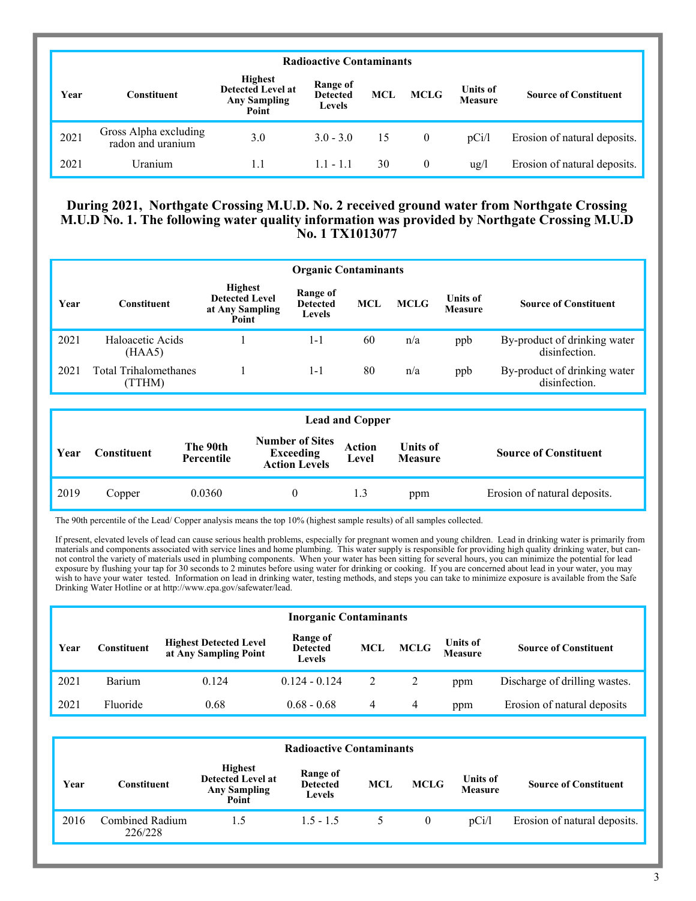|      | <b>Radioactive Contaminants</b>            |                                                                            |                                              |            |                |                            |                              |  |  |  |
|------|--------------------------------------------|----------------------------------------------------------------------------|----------------------------------------------|------------|----------------|----------------------------|------------------------------|--|--|--|
| Year | Constituent                                | <b>Highest</b><br><b>Detected Level at</b><br><b>Any Sampling</b><br>Point | Range of<br><b>Detected</b><br><b>Levels</b> | <b>MCL</b> | <b>MCLG</b>    | <b>Units of</b><br>Measure | <b>Source of Constituent</b> |  |  |  |
| 2021 | Gross Alpha excluding<br>radon and uranium | 3.0                                                                        | $3.0 - 3.0$                                  | 15         | $\overline{0}$ | pCi/l                      | Erosion of natural deposits. |  |  |  |
| 2021 | Uranium                                    | 1.1                                                                        | $1.1 - 1.1$                                  | 30         | $\theta$       | $\frac{u}{g}$              | Erosion of natural deposits. |  |  |  |

## **During 2021, Northgate Crossing M.U.D. No. 2 received ground water from Northgate Crossing M.U.D No. 1. The following water quality information was provided by Northgate Crossing M.U.D No. 1 TX1013077**

|      | <b>Organic Contaminants</b>           |                                                                     |                                              |     |             |                                   |                                               |  |  |  |
|------|---------------------------------------|---------------------------------------------------------------------|----------------------------------------------|-----|-------------|-----------------------------------|-----------------------------------------------|--|--|--|
| Year | <b>Constituent</b>                    | <b>Highest</b><br><b>Detected Level</b><br>at Any Sampling<br>Point | Range of<br><b>Detected</b><br><b>Levels</b> | MCL | <b>MCLG</b> | <b>Units of</b><br><b>Measure</b> | <b>Source of Constituent</b>                  |  |  |  |
| 2021 | Haloacetic Acids<br>(HAA5)            |                                                                     | 1-1                                          | 60  | n/a         | ppb                               | By-product of drinking water<br>disinfection. |  |  |  |
| 2021 | <b>Total Trihalomethanes</b><br>TTHM) |                                                                     | $1 - 1$                                      | 80  | n/a         | ppb                               | By-product of drinking water<br>disinfection. |  |  |  |

|      | <b>Lead and Copper</b> |                        |                                                                    |                        |                                   |                              |  |  |  |
|------|------------------------|------------------------|--------------------------------------------------------------------|------------------------|-----------------------------------|------------------------------|--|--|--|
| Year | <b>Constituent</b>     | The 90th<br>Percentile | <b>Number of Sites</b><br><b>Exceeding</b><br><b>Action Levels</b> | <b>Action</b><br>Level | <b>Units of</b><br><b>Measure</b> | <b>Source of Constituent</b> |  |  |  |
| 2019 | Copper                 | 0.0360                 | $_{0}$                                                             | 1.3                    | ppm                               | Erosion of natural deposits. |  |  |  |

The 90th percentile of the Lead/ Copper analysis means the top 10% (highest sample results) of all samples collected.

If present, elevated levels of lead can cause serious health problems, especially for pregnant women and young children. Lead in drinking water is primarily from materials and components associated with service lines and home plumbing. This water supply is responsible for providing high quality drinking water, but cannot control the variety of materials used in plumbing components. When your water has been sitting for several hours, you can minimize the potential for lead exposure by flushing your tap for 30 seconds to 2 minutes before using water for drinking or cooking. If you are concerned about lead in your water, you may wish to have your water tested. Information on lead in drinking water, testing methods, and steps you can take to minimize exposure is available from the Safe Drinking Water Hotline or at http://www.epa.gov/safewater/lead.

|      | <b>Inorganic Contaminants</b> |                                                        |                                       |            |             |                            |                               |  |  |  |
|------|-------------------------------|--------------------------------------------------------|---------------------------------------|------------|-------------|----------------------------|-------------------------------|--|--|--|
| Year | Constituent                   | <b>Highest Detected Level</b><br>at Any Sampling Point | Range of<br><b>Detected</b><br>Levels | <b>MCL</b> | <b>MCLG</b> | Units of<br><b>Measure</b> | <b>Source of Constituent</b>  |  |  |  |
| 2021 | Barium                        | 0.124                                                  | $0.124 - 0.124$                       | 2          |             | ppm                        | Discharge of drilling wastes. |  |  |  |
| 2021 | Fluoride                      | 0.68                                                   | $0.68 - 0.68$                         | 4          | 4           | ppm                        | Erosion of natural deposits   |  |  |  |

|      | <b>Radioactive Contaminants</b> |                                                                            |                                       |     |             |                                   |                              |  |  |  |
|------|---------------------------------|----------------------------------------------------------------------------|---------------------------------------|-----|-------------|-----------------------------------|------------------------------|--|--|--|
| Year | Constituent                     | <b>Highest</b><br><b>Detected Level at</b><br><b>Any Sampling</b><br>Point | Range of<br><b>Detected</b><br>Levels | MCL | <b>MCLG</b> | <b>Units of</b><br><b>Measure</b> | <b>Source of Constituent</b> |  |  |  |
| 2016 | Combined Radium<br>226/228      | 1.5                                                                        | $1.5 - 1.5$                           |     | 0           | pCi/l                             | Erosion of natural deposits. |  |  |  |